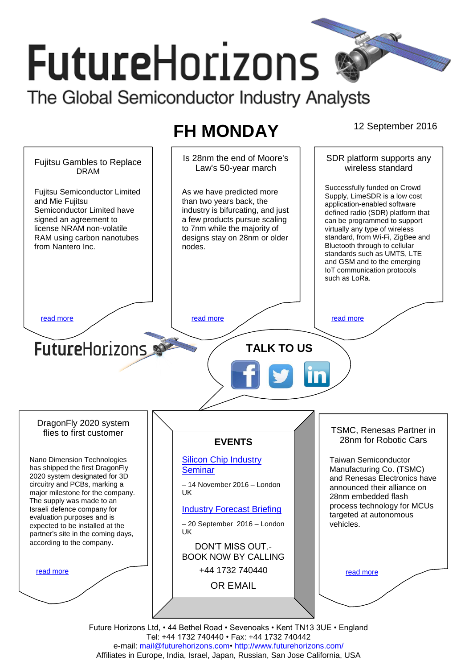# **FutureHorizons**

The Global Semiconductor Industry Analysts

# **FH MONDAY** 12 September 2016

Is 28nm the end of Moore's SDR platform supports any Fujitsu Gambles to Replace wireless standard Law's 50-year march DRAM Successfully funded on Crowd Fujitsu Semiconductor Limited As we have predicted more Supply, LimeSDR is a low cost and Mie Fujitsu than two years back, the application-enabled software industry is bifurcating, and just Semiconductor Limited have defined radio (SDR) platform that a few products pursue scaling signed an agreement to can be programmed to support license NRAM non-volatile to 7nm while the majority of virtually any type of wireless standard, from Wi-Fi, ZigBee and RAM using carbon nanotubes designs stay on 28nm or older Bluetooth through to cellular from Nantero Inc. nodes. standards such as UMTS, LTE and GSM and to the emerging IoT communication protocols such as LoRa. [read more](#page-1-1) that the second contract the second contract of the read more that the read more that the read more **Future**Horizons **TALK TO US** DragonFly 2020 system TSMC, Renesas Partner in flies to first customer 28nm for Robotic Cars **EVENTS** Nano Dimension Technologies [Silicon Chip Industry](http://www.futurehorizons.com/page/12/silicon-chip-training)  Taiwan Semiconductor has shipped the first DragonFly **[Seminar](http://www.futurehorizons.com/page/12/silicon-chip-training)** Manufacturing Co. (TSMC) 2020 system designated for 3D and Renesas Electronics have circuitry and PCBs, marking a – 14 November 2016 – London announced their alliance on major milestone for the company. UK 28nm embedded flash The supply was made to an process technology for MCUs Israeli defence company for [Industry Forecast Briefing](http://www.futurehorizons.com/page/13/Semiconductor-Market-Forecast-Seminar) targeted at autonomous evaluation purposes and is vehicles. expected to be installed at the – 20 September 2016 – London UK partner's site in the coming days, according to the company.DON'T MISS OUT.- BOOK NOW BY CALLING +44 1732 740440 [read more](#page-1-3) [read more](#page-1-4) OR EMAIL *[mail@futurehorizons.com](mailto:mail@futurehorizons.com)*

Future Horizons Ltd, • 44 Bethel Road • Sevenoaks • Kent TN13 3UE • England Tel: +44 1732 740440 • Fax: +44 1732 740442 e-mail: mail@futurehorizons.com• http://www.futurehorizons.com/ Affiliates in Europe, India, Israel, Japan, Russian, San Jose California, USA